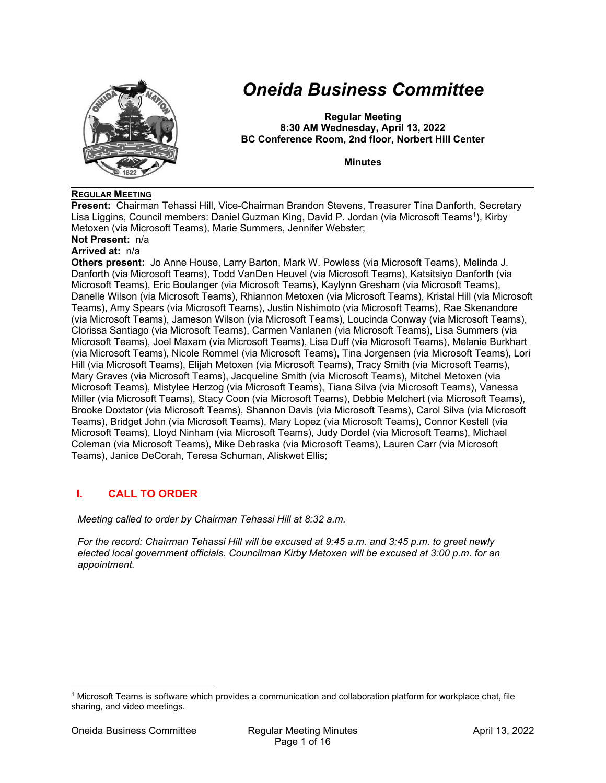

# *Oneida Business Committee*

**Regular Meeting 8:30 AM Wednesday, April 13, 2022 BC Conference Room, 2nd floor, Norbert Hill Center** 

**Minutes** 

#### **REGULAR MEETING**

**Present:** Chairman Tehassi Hill, Vice-Chairman Brandon Stevens, Treasurer Tina Danforth, Secretary Lisa Liggins, Council members: Daniel Guzman King, David P. Jordan (via Microsoft Teams<sup>1</sup>), Kirby Metoxen (via Microsoft Teams), Marie Summers, Jennifer Webster;

#### **Not Present:** n/a **Arrived at:** n/a

**Others present:** Jo Anne House, Larry Barton, Mark W. Powless (via Microsoft Teams), Melinda J. Danforth (via Microsoft Teams), Todd VanDen Heuvel (via Microsoft Teams), Katsitsiyo Danforth (via Microsoft Teams), Eric Boulanger (via Microsoft Teams), Kaylynn Gresham (via Microsoft Teams), Danelle Wilson (via Microsoft Teams), Rhiannon Metoxen (via Microsoft Teams), Kristal Hill (via Microsoft Teams), Amy Spears (via Microsoft Teams), Justin Nishimoto (via Microsoft Teams), Rae Skenandore (via Microsoft Teams), Jameson Wilson (via Microsoft Teams), Loucinda Conway (via Microsoft Teams), Clorissa Santiago (via Microsoft Teams), Carmen Vanlanen (via Microsoft Teams), Lisa Summers (via Microsoft Teams), Joel Maxam (via Microsoft Teams), Lisa Duff (via Microsoft Teams), Melanie Burkhart (via Microsoft Teams), Nicole Rommel (via Microsoft Teams), Tina Jorgensen (via Microsoft Teams), Lori Hill (via Microsoft Teams), Elijah Metoxen (via Microsoft Teams), Tracy Smith (via Microsoft Teams), Mary Graves (via Microsoft Teams), Jacqueline Smith (via Microsoft Teams), Mitchel Metoxen (via Microsoft Teams), Mistylee Herzog (via Microsoft Teams), Tiana Silva (via Microsoft Teams), Vanessa Miller (via Microsoft Teams), Stacy Coon (via Microsoft Teams), Debbie Melchert (via Microsoft Teams), Brooke Doxtator (via Microsoft Teams), Shannon Davis (via Microsoft Teams), Carol Silva (via Microsoft Teams), Bridget John (via Microsoft Teams), Mary Lopez (via Microsoft Teams), Connor Kestell (via Microsoft Teams), Lloyd Ninham (via Microsoft Teams), Judy Dordel (via Microsoft Teams), Michael Coleman (via Microsoft Teams), Mike Debraska (via Microsoft Teams), Lauren Carr (via Microsoft Teams), Janice DeCorah, Teresa Schuman, Aliskwet Ellis;

# **I. CALL TO ORDER**

*Meeting called to order by Chairman Tehassi Hill at 8:32 a.m.* 

*For the record: Chairman Tehassi Hill will be excused at 9:45 a.m. and 3:45 p.m. to greet newly elected local government officials. Councilman Kirby Metoxen will be excused at 3:00 p.m. for an appointment.* 

<sup>1</sup> Microsoft Teams is software which provides a communication and collaboration platform for workplace chat, file sharing, and video meetings.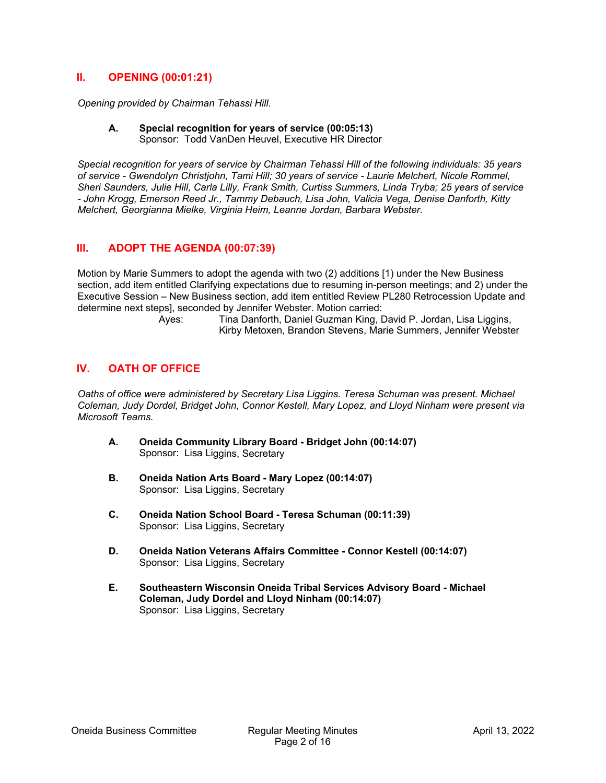## **II. OPENING (00:01:21)**

*Opening provided by Chairman Tehassi Hill.* 

#### **A. Special recognition for years of service (00:05:13)**  Sponsor: Todd VanDen Heuvel, Executive HR Director

*Special recognition for years of service by Chairman Tehassi Hill of the following individuals: 35 years of service - Gwendolyn Christjohn, Tami Hill; 30 years of service - Laurie Melchert, Nicole Rommel, Sheri Saunders, Julie Hill, Carla Lilly, Frank Smith, Curtiss Summers, Linda Tryba; 25 years of service - John Krogg, Emerson Reed Jr., Tammy Debauch, Lisa John, Valicia Vega, Denise Danforth, Kitty Melchert, Georgianna Mielke, Virginia Heim, Leanne Jordan, Barbara Webster.* 

## **III. ADOPT THE AGENDA (00:07:39)**

Motion by Marie Summers to adopt the agenda with two (2) additions [1) under the New Business section, add item entitled Clarifying expectations due to resuming in-person meetings; and 2) under the Executive Session – New Business section, add item entitled Review PL280 Retrocession Update and determine next steps], seconded by Jennifer Webster. Motion carried:

 Ayes: Tina Danforth, Daniel Guzman King, David P. Jordan, Lisa Liggins, Kirby Metoxen, Brandon Stevens, Marie Summers, Jennifer Webster

# **IV. OATH OF OFFICE**

*Oaths of office were administered by Secretary Lisa Liggins. Teresa Schuman was present. Michael Coleman, Judy Dordel, Bridget John, Connor Kestell, Mary Lopez, and Lloyd Ninham were present via Microsoft Teams.* 

- **A. Oneida Community Library Board Bridget John (00:14:07)**  Sponsor: Lisa Liggins, Secretary
- **B. Oneida Nation Arts Board Mary Lopez (00:14:07)**  Sponsor: Lisa Liggins, Secretary
- **C. Oneida Nation School Board Teresa Schuman (00:11:39)**  Sponsor: Lisa Liggins, Secretary
- **D. Oneida Nation Veterans Affairs Committee Connor Kestell (00:14:07)**  Sponsor: Lisa Liggins, Secretary
- **E. Southeastern Wisconsin Oneida Tribal Services Advisory Board Michael Coleman, Judy Dordel and Lloyd Ninham (00:14:07)**  Sponsor: Lisa Liggins, Secretary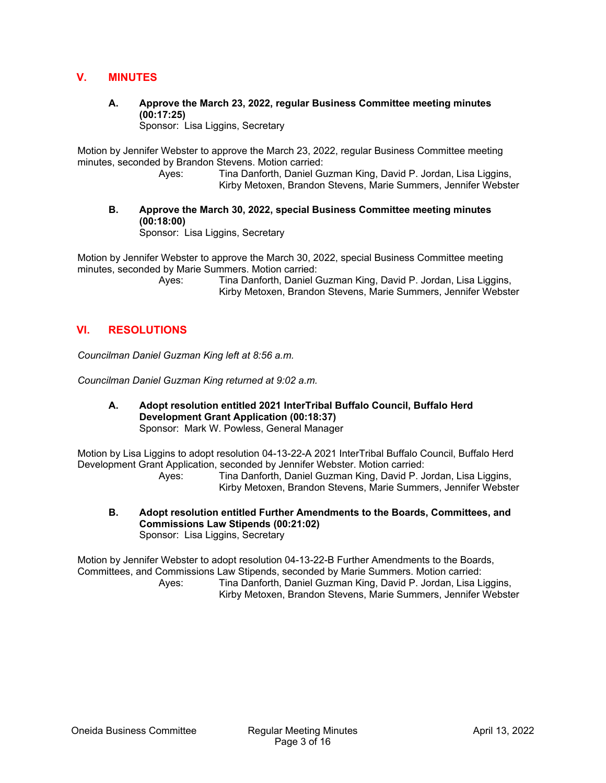## **V. MINUTES**

**A. Approve the March 23, 2022, regular Business Committee meeting minutes (00:17:25)** 

Sponsor: Lisa Liggins, Secretary

Motion by Jennifer Webster to approve the March 23, 2022, regular Business Committee meeting minutes, seconded by Brandon Stevens. Motion carried:

 Ayes: Tina Danforth, Daniel Guzman King, David P. Jordan, Lisa Liggins, Kirby Metoxen, Brandon Stevens, Marie Summers, Jennifer Webster

## **B. Approve the March 30, 2022, special Business Committee meeting minutes (00:18:00)**

Sponsor: Lisa Liggins, Secretary

Motion by Jennifer Webster to approve the March 30, 2022, special Business Committee meeting minutes, seconded by Marie Summers. Motion carried:

 Ayes: Tina Danforth, Daniel Guzman King, David P. Jordan, Lisa Liggins, Kirby Metoxen, Brandon Stevens, Marie Summers, Jennifer Webster

# **VI. RESOLUTIONS**

*Councilman Daniel Guzman King left at 8:56 a.m.* 

*Councilman Daniel Guzman King returned at 9:02 a.m.* 

#### **A. Adopt resolution entitled 2021 InterTribal Buffalo Council, Buffalo Herd Development Grant Application (00:18:37)**  Sponsor: Mark W. Powless, General Manager

Motion by Lisa Liggins to adopt resolution 04-13-22-A 2021 InterTribal Buffalo Council, Buffalo Herd Development Grant Application, seconded by Jennifer Webster. Motion carried:

 Ayes: Tina Danforth, Daniel Guzman King, David P. Jordan, Lisa Liggins, Kirby Metoxen, Brandon Stevens, Marie Summers, Jennifer Webster

**B. Adopt resolution entitled Further Amendments to the Boards, Committees, and Commissions Law Stipends (00:21:02)**  Sponsor: Lisa Liggins, Secretary

Motion by Jennifer Webster to adopt resolution 04-13-22-B Further Amendments to the Boards, Committees, and Commissions Law Stipends, seconded by Marie Summers. Motion carried: Ayes: Tina Danforth, Daniel Guzman King, David P. Jordan, Lisa Liggins, Kirby Metoxen, Brandon Stevens, Marie Summers, Jennifer Webster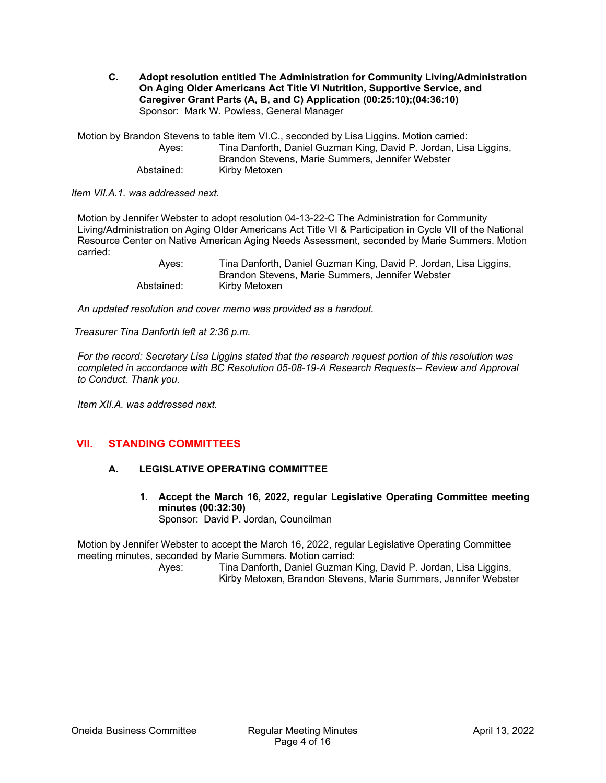**C. Adopt resolution entitled The Administration for Community Living/Administration On Aging Older Americans Act Title VI Nutrition, Supportive Service, and Caregiver Grant Parts (A, B, and C) Application (00:25:10);(04:36:10)**  Sponsor: Mark W. Powless, General Manager

Motion by Brandon Stevens to table item VI.C., seconded by Lisa Liggins. Motion carried: Ayes: Tina Danforth, Daniel Guzman King, David P. Jordan, Lisa Liggins, Brandon Stevens, Marie Summers, Jennifer Webster Abstained: Kirby Metoxen

*Item VII.A.1. was addressed next.* 

Motion by Jennifer Webster to adopt resolution 04-13-22-C The Administration for Community Living/Administration on Aging Older Americans Act Title VI & Participation in Cycle VII of the National Resource Center on Native American Aging Needs Assessment, seconded by Marie Summers. Motion carried:

| Aves:      | Tina Danforth, Daniel Guzman King, David P. Jordan, Lisa Liggins, |
|------------|-------------------------------------------------------------------|
|            | Brandon Stevens, Marie Summers, Jennifer Webster                  |
| Abstained: | Kirby Metoxen                                                     |

*An updated resolution and cover memo was provided as a handout.* 

 *Treasurer Tina Danforth left at 2:36 p.m.* 

*For the record: Secretary Lisa Liggins stated that the research request portion of this resolution was completed in accordance with BC Resolution 05-08-19-A Research Requests-- Review and Approval to Conduct. Thank you.* 

*Item XII.A. was addressed next.* 

# **VII. STANDING COMMITTEES**

## **A. LEGISLATIVE OPERATING COMMITTEE**

**1. Accept the March 16, 2022, regular Legislative Operating Committee meeting minutes (00:32:30)**  Sponsor: David P. Jordan, Councilman

Motion by Jennifer Webster to accept the March 16, 2022, regular Legislative Operating Committee meeting minutes, seconded by Marie Summers. Motion carried:

 Ayes: Tina Danforth, Daniel Guzman King, David P. Jordan, Lisa Liggins, Kirby Metoxen, Brandon Stevens, Marie Summers, Jennifer Webster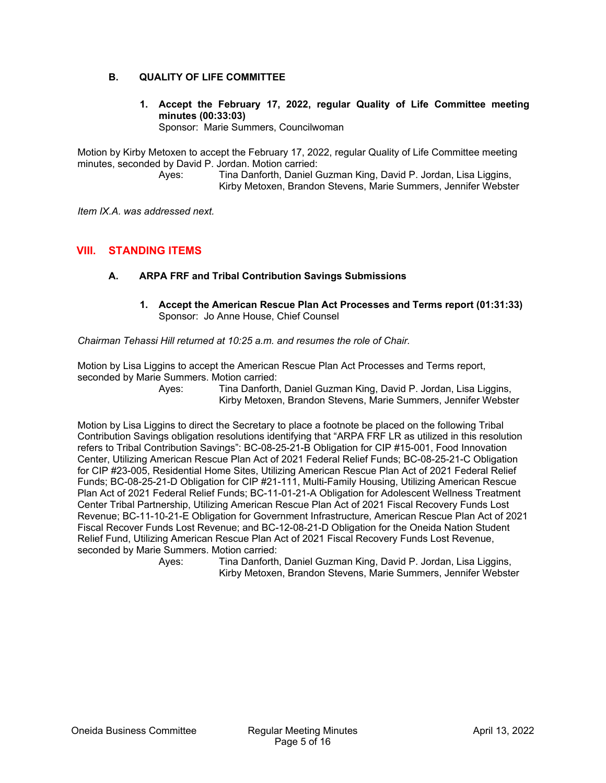## **B. QUALITY OF LIFE COMMITTEE**

**1. Accept the February 17, 2022, regular Quality of Life Committee meeting minutes (00:33:03)** 

Sponsor: Marie Summers, Councilwoman

Motion by Kirby Metoxen to accept the February 17, 2022, regular Quality of Life Committee meeting minutes, seconded by David P. Jordan. Motion carried:

 Ayes: Tina Danforth, Daniel Guzman King, David P. Jordan, Lisa Liggins, Kirby Metoxen, Brandon Stevens, Marie Summers, Jennifer Webster

*Item IX.A. was addressed next.* 

## **VIII. STANDING ITEMS**

## **A. ARPA FRF and Tribal Contribution Savings Submissions**

**1. Accept the American Rescue Plan Act Processes and Terms report (01:31:33)**  Sponsor: Jo Anne House, Chief Counsel

*Chairman Tehassi Hill returned at 10:25 a.m. and resumes the role of Chair.* 

Motion by Lisa Liggins to accept the American Rescue Plan Act Processes and Terms report, seconded by Marie Summers. Motion carried:

 Ayes: Tina Danforth, Daniel Guzman King, David P. Jordan, Lisa Liggins, Kirby Metoxen, Brandon Stevens, Marie Summers, Jennifer Webster

Motion by Lisa Liggins to direct the Secretary to place a footnote be placed on the following Tribal Contribution Savings obligation resolutions identifying that "ARPA FRF LR as utilized in this resolution refers to Tribal Contribution Savings": BC-08-25-21-B Obligation for CIP #15-001, Food Innovation Center, Utilizing American Rescue Plan Act of 2021 Federal Relief Funds; BC-08-25-21-C Obligation for CIP #23-005, Residential Home Sites, Utilizing American Rescue Plan Act of 2021 Federal Relief Funds; BC-08-25-21-D Obligation for CIP #21-111, Multi-Family Housing, Utilizing American Rescue Plan Act of 2021 Federal Relief Funds; BC-11-01-21-A Obligation for Adolescent Wellness Treatment Center Tribal Partnership, Utilizing American Rescue Plan Act of 2021 Fiscal Recovery Funds Lost Revenue; BC-11-10-21-E Obligation for Government Infrastructure, American Rescue Plan Act of 2021 Fiscal Recover Funds Lost Revenue; and BC-12-08-21-D Obligation for the Oneida Nation Student Relief Fund, Utilizing American Rescue Plan Act of 2021 Fiscal Recovery Funds Lost Revenue, seconded by Marie Summers. Motion carried:

 Ayes: Tina Danforth, Daniel Guzman King, David P. Jordan, Lisa Liggins, Kirby Metoxen, Brandon Stevens, Marie Summers, Jennifer Webster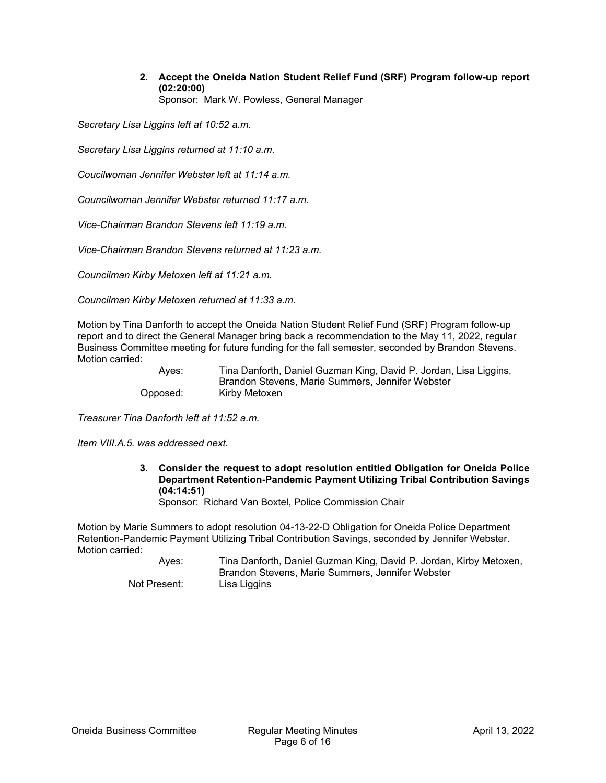**2. Accept the Oneida Nation Student Relief Fund (SRF) Program follow-up report (02:20:00)** 

Sponsor: Mark W. Powless, General Manager

*Secretary Lisa Liggins left at 10:52 a.m.* 

*Secretary Lisa Liggins returned at 11:10 a.m.* 

*Coucilwoman Jennifer Webster left at 11:14 a.m.* 

*Councilwoman Jennifer Webster returned 11:17 a.m.* 

*Vice-Chairman Brandon Stevens left 11:19 a.m.* 

*Vice-Chairman Brandon Stevens returned at 11:23 a.m.* 

*Councilman Kirby Metoxen left at 11:21 a.m.* 

*Councilman Kirby Metoxen returned at 11:33 a.m.* 

Motion by Tina Danforth to accept the Oneida Nation Student Relief Fund (SRF) Program follow-up report and to direct the General Manager bring back a recommendation to the May 11, 2022, regular Business Committee meeting for future funding for the fall semester, seconded by Brandon Stevens. Motion carried:

| Aves:    | Tina Danforth, Daniel Guzman King, David P. Jordan, Lisa Liggins, |
|----------|-------------------------------------------------------------------|
|          | Brandon Stevens, Marie Summers, Jennifer Webster                  |
| Opposed: | Kirby Metoxen                                                     |

*Treasurer Tina Danforth left at 11:52 a.m.* 

*Item VIII.A.5. was addressed next.* 

**3. Consider the request to adopt resolution entitled Obligation for Oneida Police Department Retention-Pandemic Payment Utilizing Tribal Contribution Savings (04:14:51)** 

Sponsor: Richard Van Boxtel, Police Commission Chair

Motion by Marie Summers to adopt resolution 04-13-22-D Obligation for Oneida Police Department Retention-Pandemic Payment Utilizing Tribal Contribution Savings, seconded by Jennifer Webster. Motion carried:

 Ayes: Tina Danforth, Daniel Guzman King, David P. Jordan, Kirby Metoxen, Brandon Stevens, Marie Summers, Jennifer Webster Not Present: Lisa Liggins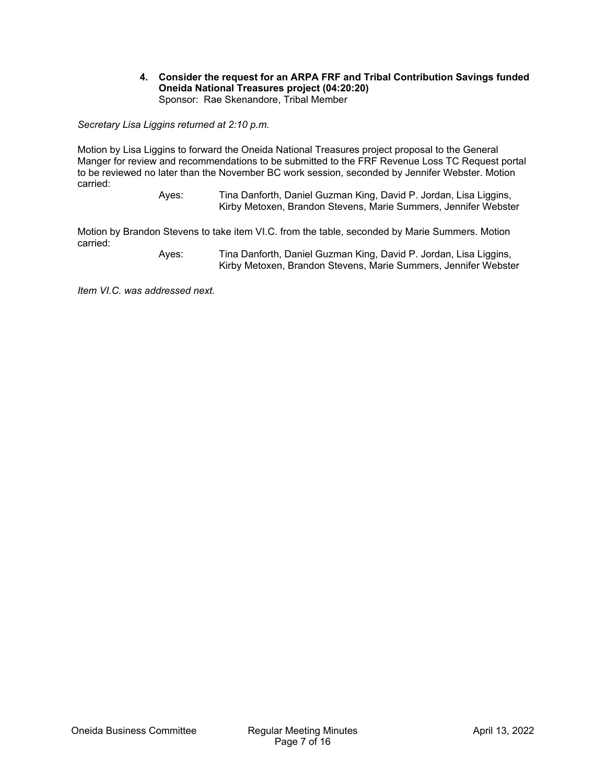#### **4. Consider the request for an ARPA FRF and Tribal Contribution Savings funded Oneida National Treasures project (04:20:20)**  Sponsor: Rae Skenandore, Tribal Member

*Secretary Lisa Liggins returned at 2:10 p.m.* 

Motion by Lisa Liggins to forward the Oneida National Treasures project proposal to the General Manger for review and recommendations to be submitted to the FRF Revenue Loss TC Request portal to be reviewed no later than the November BC work session, seconded by Jennifer Webster. Motion carried:

> Ayes: Tina Danforth, Daniel Guzman King, David P. Jordan, Lisa Liggins, Kirby Metoxen, Brandon Stevens, Marie Summers, Jennifer Webster

Motion by Brandon Stevens to take item VI.C. from the table, seconded by Marie Summers. Motion carried:

 Ayes: Tina Danforth, Daniel Guzman King, David P. Jordan, Lisa Liggins, Kirby Metoxen, Brandon Stevens, Marie Summers, Jennifer Webster

*Item VI.C. was addressed next.*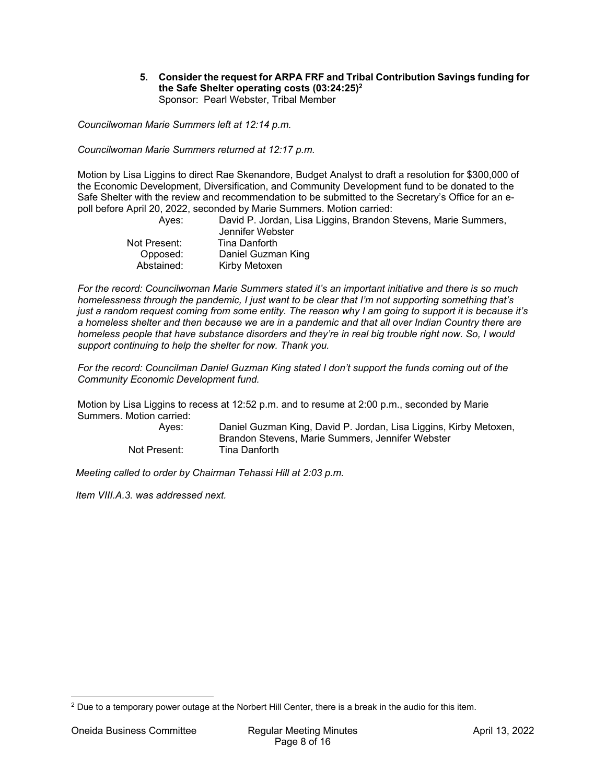**5. Consider the request for ARPA FRF and Tribal Contribution Savings funding for the Safe Shelter operating costs (03:24:25)2** Sponsor: Pearl Webster, Tribal Member

*Councilwoman Marie Summers left at 12:14 p.m.* 

*Councilwoman Marie Summers returned at 12:17 p.m.* 

Motion by Lisa Liggins to direct Rae Skenandore, Budget Analyst to draft a resolution for \$300,000 of the Economic Development, Diversification, and Community Development fund to be donated to the Safe Shelter with the review and recommendation to be submitted to the Secretary's Office for an epoll before April 20, 2022, seconded by Marie Summers. Motion carried:

| Aves:        | David P. Jordan, Lisa Liggins, Brandon Stevens, Marie Summers,<br>Jennifer Webster |
|--------------|------------------------------------------------------------------------------------|
| Not Present: | Tina Danforth                                                                      |
| Opposed:     | Daniel Guzman King                                                                 |
| Abstained:   | Kirby Metoxen                                                                      |

*For the record: Councilwoman Marie Summers stated it's an important initiative and there is so much homelessness through the pandemic, I just want to be clear that I'm not supporting something that's just a random request coming from some entity. The reason why I am going to support it is because it's a homeless shelter and then because we are in a pandemic and that all over Indian Country there are homeless people that have substance disorders and they're in real big trouble right now. So, I would support continuing to help the shelter for now. Thank you.* 

*For the record: Councilman Daniel Guzman King stated I don't support the funds coming out of the Community Economic Development fund.*

Motion by Lisa Liggins to recess at 12:52 p.m. and to resume at 2:00 p.m., seconded by Marie Summers. Motion carried:

> Ayes: Daniel Guzman King, David P. Jordan, Lisa Liggins, Kirby Metoxen, Brandon Stevens, Marie Summers, Jennifer Webster Not Present: Tina Danforth

*Meeting called to order by Chairman Tehassi Hill at 2:03 p.m.* 

*Item VIII.A.3. was addressed next.* 

 $2$  Due to a temporary power outage at the Norbert Hill Center, there is a break in the audio for this item.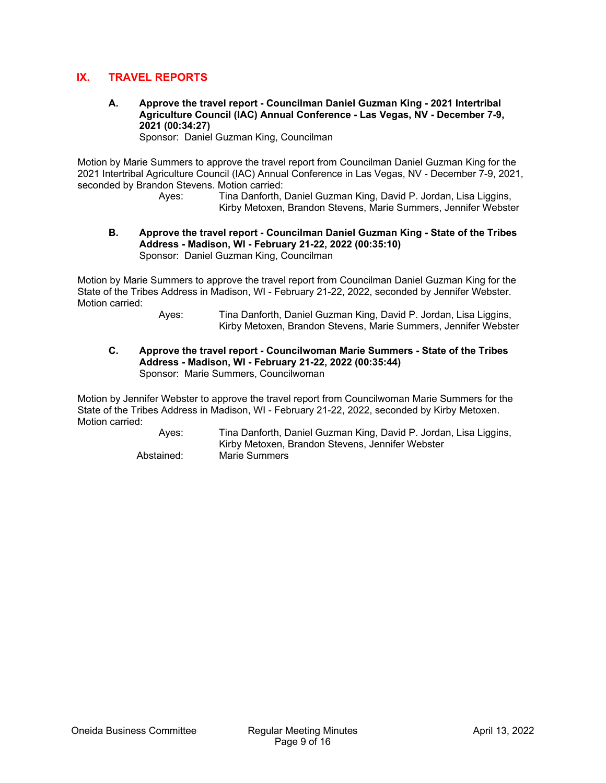## **IX. TRAVEL REPORTS**

**A. Approve the travel report - Councilman Daniel Guzman King - 2021 Intertribal Agriculture Council (IAC) Annual Conference - Las Vegas, NV - December 7-9, 2021 (00:34:27)**  Sponsor: Daniel Guzman King, Councilman

Motion by Marie Summers to approve the travel report from Councilman Daniel Guzman King for the 2021 Intertribal Agriculture Council (IAC) Annual Conference in Las Vegas, NV - December 7-9, 2021, seconded by Brandon Stevens. Motion carried:

 Ayes: Tina Danforth, Daniel Guzman King, David P. Jordan, Lisa Liggins, Kirby Metoxen, Brandon Stevens, Marie Summers, Jennifer Webster

**B. Approve the travel report - Councilman Daniel Guzman King - State of the Tribes Address - Madison, WI - February 21-22, 2022 (00:35:10)**  Sponsor: Daniel Guzman King, Councilman

Motion by Marie Summers to approve the travel report from Councilman Daniel Guzman King for the State of the Tribes Address in Madison, WI - February 21-22, 2022, seconded by Jennifer Webster. Motion carried:

> Ayes: Tina Danforth, Daniel Guzman King, David P. Jordan, Lisa Liggins, Kirby Metoxen, Brandon Stevens, Marie Summers, Jennifer Webster

**C. Approve the travel report - Councilwoman Marie Summers - State of the Tribes Address - Madison, WI - February 21-22, 2022 (00:35:44)**  Sponsor: Marie Summers, Councilwoman

Motion by Jennifer Webster to approve the travel report from Councilwoman Marie Summers for the State of the Tribes Address in Madison, WI - February 21-22, 2022, seconded by Kirby Metoxen. Motion carried:

> Ayes: Tina Danforth, Daniel Guzman King, David P. Jordan, Lisa Liggins, Kirby Metoxen, Brandon Stevens, Jennifer Webster Abstained: Marie Summers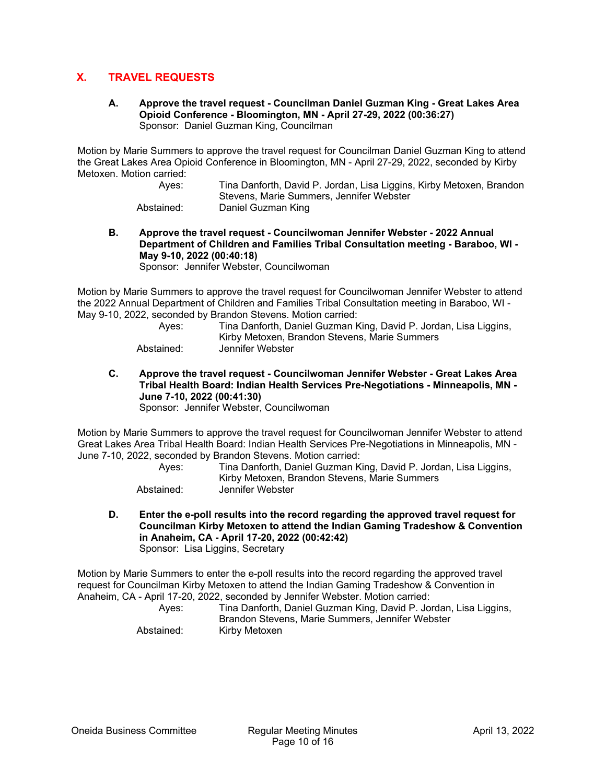# **X. TRAVEL REQUESTS**

**A. Approve the travel request - Councilman Daniel Guzman King - Great Lakes Area Opioid Conference - Bloomington, MN - April 27-29, 2022 (00:36:27)**  Sponsor: Daniel Guzman King, Councilman

Motion by Marie Summers to approve the travel request for Councilman Daniel Guzman King to attend the Great Lakes Area Opioid Conference in Bloomington, MN - April 27-29, 2022, seconded by Kirby Metoxen. Motion carried:

> Ayes: Tina Danforth, David P. Jordan, Lisa Liggins, Kirby Metoxen, Brandon Stevens, Marie Summers, Jennifer Webster

Abstained: Daniel Guzman King

**B. Approve the travel request - Councilwoman Jennifer Webster - 2022 Annual Department of Children and Families Tribal Consultation meeting - Baraboo, WI - May 9-10, 2022 (00:40:18)** 

Sponsor: Jennifer Webster, Councilwoman

Motion by Marie Summers to approve the travel request for Councilwoman Jennifer Webster to attend the 2022 Annual Department of Children and Families Tribal Consultation meeting in Baraboo, WI - May 9-10, 2022, seconded by Brandon Stevens. Motion carried:

| Aves:      | Tina Danforth, Daniel Guzman King, David P. Jordan, Lisa Liggins, |
|------------|-------------------------------------------------------------------|
|            | Kirby Metoxen, Brandon Stevens, Marie Summers                     |
| Abstained: | Jennifer Webster                                                  |

**C. Approve the travel request - Councilwoman Jennifer Webster - Great Lakes Area Tribal Health Board: Indian Health Services Pre-Negotiations - Minneapolis, MN - June 7-10, 2022 (00:41:30)** 

Sponsor: Jennifer Webster, Councilwoman

Motion by Marie Summers to approve the travel request for Councilwoman Jennifer Webster to attend Great Lakes Area Tribal Health Board: Indian Health Services Pre-Negotiations in Minneapolis, MN - June 7-10, 2022, seconded by Brandon Stevens. Motion carried:

 Ayes: Tina Danforth, Daniel Guzman King, David P. Jordan, Lisa Liggins, Kirby Metoxen, Brandon Stevens, Marie Summers Abstained: Jennifer Webster

**D. Enter the e-poll results into the record regarding the approved travel request for Councilman Kirby Metoxen to attend the Indian Gaming Tradeshow & Convention in Anaheim, CA - April 17-20, 2022 (00:42:42)**  Sponsor: Lisa Liggins, Secretary

Motion by Marie Summers to enter the e-poll results into the record regarding the approved travel request for Councilman Kirby Metoxen to attend the Indian Gaming Tradeshow & Convention in Anaheim, CA - April 17-20, 2022, seconded by Jennifer Webster. Motion carried:

| Ayes:      | Tina Danforth, Daniel Guzman King, David P. Jordan, Lisa Liggins,<br>Brandon Stevens, Marie Summers, Jennifer Webster |
|------------|-----------------------------------------------------------------------------------------------------------------------|
| Abstained: | Kirby Metoxen                                                                                                         |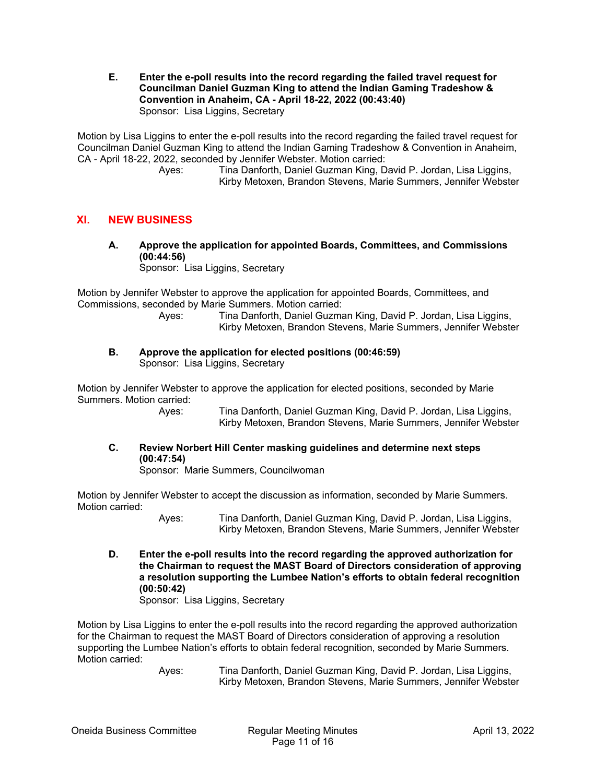**E. Enter the e-poll results into the record regarding the failed travel request for Councilman Daniel Guzman King to attend the Indian Gaming Tradeshow & Convention in Anaheim, CA - April 18-22, 2022 (00:43:40)**  Sponsor: Lisa Liggins, Secretary

Motion by Lisa Liggins to enter the e-poll results into the record regarding the failed travel request for Councilman Daniel Guzman King to attend the Indian Gaming Tradeshow & Convention in Anaheim, CA - April 18-22, 2022, seconded by Jennifer Webster. Motion carried:

 Ayes: Tina Danforth, Daniel Guzman King, David P. Jordan, Lisa Liggins, Kirby Metoxen, Brandon Stevens, Marie Summers, Jennifer Webster

## **XI. NEW BUSINESS**

**A. Approve the application for appointed Boards, Committees, and Commissions (00:44:56)**  Sponsor: Lisa Liggins, Secretary

Motion by Jennifer Webster to approve the application for appointed Boards, Committees, and Commissions, seconded by Marie Summers. Motion carried:

 Ayes: Tina Danforth, Daniel Guzman King, David P. Jordan, Lisa Liggins, Kirby Metoxen, Brandon Stevens, Marie Summers, Jennifer Webster

**B. Approve the application for elected positions (00:46:59)**  Sponsor: Lisa Liggins, Secretary

Motion by Jennifer Webster to approve the application for elected positions, seconded by Marie Summers. Motion carried:

 Ayes: Tina Danforth, Daniel Guzman King, David P. Jordan, Lisa Liggins, Kirby Metoxen, Brandon Stevens, Marie Summers, Jennifer Webster

**C. Review Norbert Hill Center masking guidelines and determine next steps (00:47:54)** 

Sponsor: Marie Summers, Councilwoman

Motion by Jennifer Webster to accept the discussion as information, seconded by Marie Summers. Motion carried:

> Ayes: Tina Danforth, Daniel Guzman King, David P. Jordan, Lisa Liggins, Kirby Metoxen, Brandon Stevens, Marie Summers, Jennifer Webster

**D. Enter the e-poll results into the record regarding the approved authorization for the Chairman to request the MAST Board of Directors consideration of approving a resolution supporting the Lumbee Nation's efforts to obtain federal recognition (00:50:42)** 

Sponsor: Lisa Liggins, Secretary

Motion by Lisa Liggins to enter the e-poll results into the record regarding the approved authorization for the Chairman to request the MAST Board of Directors consideration of approving a resolution supporting the Lumbee Nation's efforts to obtain federal recognition, seconded by Marie Summers. Motion carried:

 Ayes: Tina Danforth, Daniel Guzman King, David P. Jordan, Lisa Liggins, Kirby Metoxen, Brandon Stevens, Marie Summers, Jennifer Webster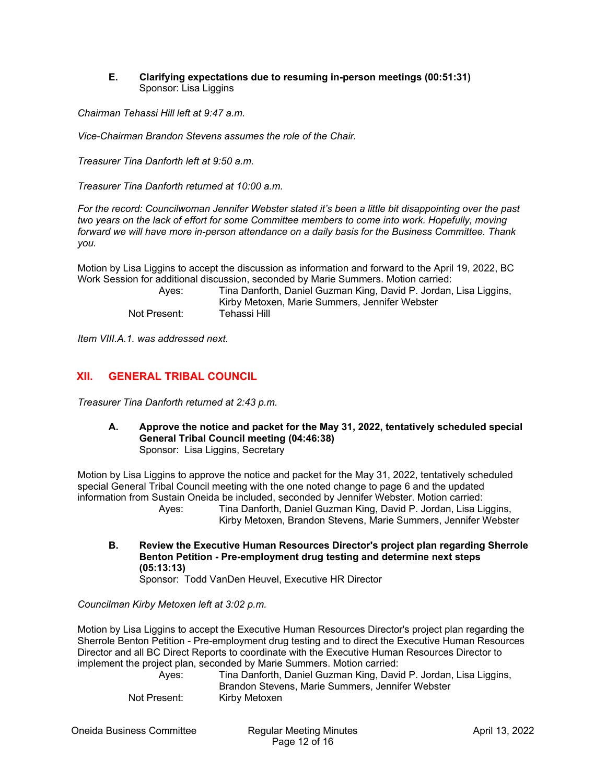#### **E. Clarifying expectations due to resuming in-person meetings (00:51:31)**  Sponsor: Lisa Liggins

*Chairman Tehassi Hill left at 9:47 a.m.* 

*Vice-Chairman Brandon Stevens assumes the role of the Chair.* 

*Treasurer Tina Danforth left at 9:50 a.m.* 

*Treasurer Tina Danforth returned at 10:00 a.m.* 

*For the record: Councilwoman Jennifer Webster stated it's been a little bit disappointing over the past two years on the lack of effort for some Committee members to come into work. Hopefully, moving forward we will have more in-person attendance on a daily basis for the Business Committee. Thank you.* 

Motion by Lisa Liggins to accept the discussion as information and forward to the April 19, 2022, BC Work Session for additional discussion, seconded by Marie Summers. Motion carried:

| Aves:        | Tina Danforth, Daniel Guzman King, David P. Jordan, Lisa Liggins, |
|--------------|-------------------------------------------------------------------|
|              | Kirby Metoxen, Marie Summers, Jennifer Webster                    |
| Not Present: | Tehassi Hill I                                                    |

*Item VIII.A.1. was addressed next.* 

# **XII. GENERAL TRIBAL COUNCIL**

*Treasurer Tina Danforth returned at 2:43 p.m.* 

**A. Approve the notice and packet for the May 31, 2022, tentatively scheduled special General Tribal Council meeting (04:46:38)**  Sponsor: Lisa Liggins, Secretary

Motion by Lisa Liggins to approve the notice and packet for the May 31, 2022, tentatively scheduled special General Tribal Council meeting with the one noted change to page 6 and the updated information from Sustain Oneida be included, seconded by Jennifer Webster. Motion carried: Ayes: Tina Danforth, Daniel Guzman King, David P. Jordan, Lisa Liggins,

Kirby Metoxen, Brandon Stevens, Marie Summers, Jennifer Webster

**B. Review the Executive Human Resources Director's project plan regarding Sherrole Benton Petition - Pre-employment drug testing and determine next steps (05:13:13)** 

Sponsor: Todd VanDen Heuvel, Executive HR Director

*Councilman Kirby Metoxen left at 3:02 p.m.* 

Motion by Lisa Liggins to accept the Executive Human Resources Director's project plan regarding the Sherrole Benton Petition - Pre-employment drug testing and to direct the Executive Human Resources Director and all BC Direct Reports to coordinate with the Executive Human Resources Director to implement the project plan, seconded by Marie Summers. Motion carried:

| Aves:        | Tina Danforth, Daniel Guzman King, David P. Jordan, Lisa Liggins, |
|--------------|-------------------------------------------------------------------|
|              | Brandon Stevens, Marie Summers, Jennifer Webster                  |
|              |                                                                   |
| Not Present: | Kirby Metoxen                                                     |

Oneida Business Committee Regular Meeting Minutes April 13, 2022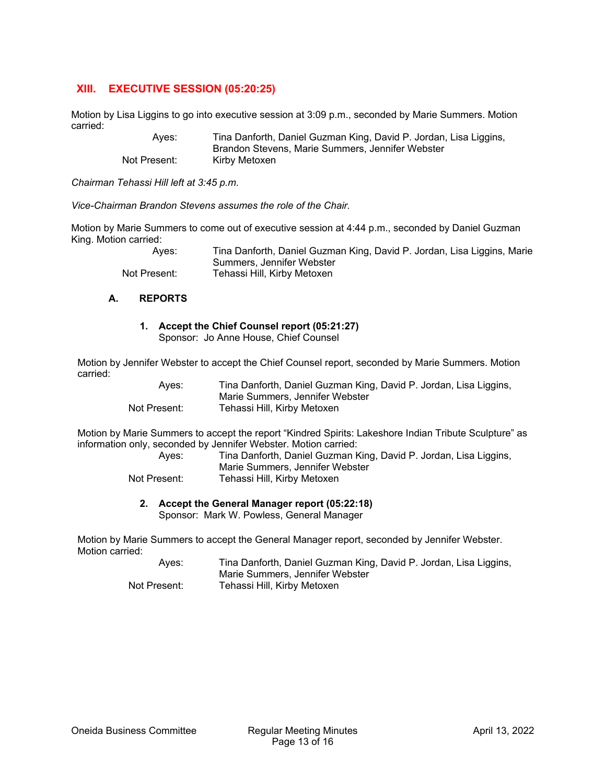# **XIII. EXECUTIVE SESSION (05:20:25)**

Motion by Lisa Liggins to go into executive session at 3:09 p.m., seconded by Marie Summers. Motion carried:

> Ayes: Tina Danforth, Daniel Guzman King, David P. Jordan, Lisa Liggins, Brandon Stevens, Marie Summers, Jennifer Webster Not Present: Kirby Metoxen

*Chairman Tehassi Hill left at 3:45 p.m.* 

*Vice-Chairman Brandon Stevens assumes the role of the Chair.* 

Motion by Marie Summers to come out of executive session at 4:44 p.m., seconded by Daniel Guzman King. Motion carried:

 Ayes: Tina Danforth, Daniel Guzman King, David P. Jordan, Lisa Liggins, Marie Summers, Jennifer Webster Not Present: Tehassi Hill, Kirby Metoxen

## **A. REPORTS**

**1. Accept the Chief Counsel report (05:21:27)**  Sponsor: Jo Anne House, Chief Counsel

Motion by Jennifer Webster to accept the Chief Counsel report, seconded by Marie Summers. Motion carried:

| Aves:        | Tina Danforth, Daniel Guzman King, David P. Jordan, Lisa Liggins, |
|--------------|-------------------------------------------------------------------|
|              | Marie Summers, Jennifer Webster                                   |
| Not Present: | Tehassi Hill, Kirby Metoxen                                       |

Motion by Marie Summers to accept the report "Kindred Spirits: Lakeshore Indian Tribute Sculpture" as information only, seconded by Jennifer Webster. Motion carried:

| Aves:        | Tina Danforth, Daniel Guzman King, David P. Jordan, Lisa Liggins, |
|--------------|-------------------------------------------------------------------|
|              | Marie Summers, Jennifer Webster                                   |
| Not Present: | Tehassi Hill, Kirby Metoxen                                       |

**2. Accept the General Manager report (05:22:18)** 

Sponsor: Mark W. Powless, General Manager

Motion by Marie Summers to accept the General Manager report, seconded by Jennifer Webster. Motion carried:

| Ayes:        | Tina Danforth, Daniel Guzman King, David P. Jordan, Lisa Liggins, |
|--------------|-------------------------------------------------------------------|
|              | Marie Summers, Jennifer Webster                                   |
| Not Present: | Tehassi Hill, Kirby Metoxen                                       |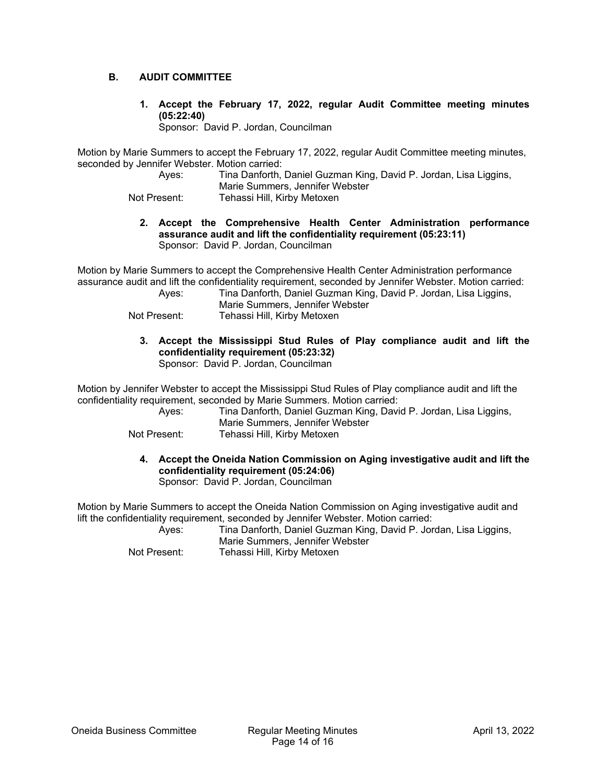## **B. AUDIT COMMITTEE**

**1. Accept the February 17, 2022, regular Audit Committee meeting minutes (05:22:40)** 

Sponsor: David P. Jordan, Councilman

Motion by Marie Summers to accept the February 17, 2022, regular Audit Committee meeting minutes, seconded by Jennifer Webster. Motion carried:

| Ayes:        | Tina Danforth, Daniel Guzman King, David P. Jordan, Lisa Liggins, |
|--------------|-------------------------------------------------------------------|
|              | Marie Summers, Jennifer Webster                                   |
| Not Present: | Tehassi Hill, Kirby Metoxen                                       |

**2. Accept the Comprehensive Health Center Administration performance assurance audit and lift the confidentiality requirement (05:23:11)**  Sponsor: David P. Jordan, Councilman

Motion by Marie Summers to accept the Comprehensive Health Center Administration performance assurance audit and lift the confidentiality requirement, seconded by Jennifer Webster. Motion carried:

| Ayes:        | Tina Danforth, Daniel Guzman King, David P. Jordan, Lisa Liggins, |
|--------------|-------------------------------------------------------------------|
|              | Marie Summers. Jennifer Webster                                   |
| Not Present: | Tehassi Hill, Kirby Metoxen                                       |

**3. Accept the Mississippi Stud Rules of Play compliance audit and lift the confidentiality requirement (05:23:32)**  Sponsor: David P. Jordan, Councilman

Motion by Jennifer Webster to accept the Mississippi Stud Rules of Play compliance audit and lift the confidentiality requirement, seconded by Marie Summers. Motion carried:

| Ayes:        | Tina Danforth, Daniel Guzman King, David P. Jordan, Lisa Liggins, |
|--------------|-------------------------------------------------------------------|
|              | Marie Summers, Jennifer Webster                                   |
| Not Present: | Tehassi Hill, Kirby Metoxen                                       |

**4. Accept the Oneida Nation Commission on Aging investigative audit and lift the confidentiality requirement (05:24:06)**  Sponsor: David P. Jordan, Councilman

Motion by Marie Summers to accept the Oneida Nation Commission on Aging investigative audit and lift the confidentiality requirement, seconded by Jennifer Webster. Motion carried:

 Ayes: Tina Danforth, Daniel Guzman King, David P. Jordan, Lisa Liggins, Marie Summers, Jennifer Webster Not Present: Tehassi Hill, Kirby Metoxen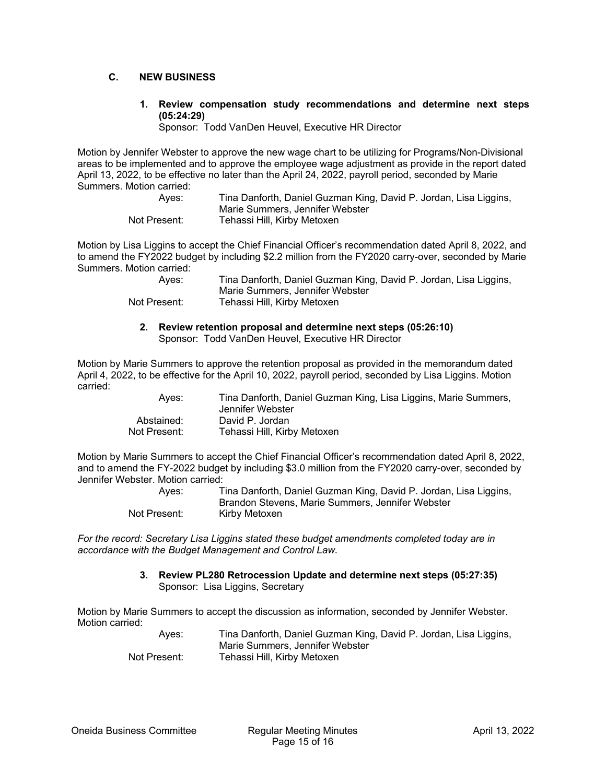### **C. NEW BUSINESS**

**1. Review compensation study recommendations and determine next steps (05:24:29)** 

Sponsor: Todd VanDen Heuvel, Executive HR Director

Motion by Jennifer Webster to approve the new wage chart to be utilizing for Programs/Non-Divisional areas to be implemented and to approve the employee wage adjustment as provide in the report dated April 13, 2022, to be effective no later than the April 24, 2022, payroll period, seconded by Marie Summers. Motion carried:

| Ayes:        | Tina Danforth, Daniel Guzman King, David P. Jordan, Lisa Liggins, |
|--------------|-------------------------------------------------------------------|
|              | Marie Summers, Jennifer Webster                                   |
| Not Present: | Tehassi Hill, Kirby Metoxen                                       |

Motion by Lisa Liggins to accept the Chief Financial Officer's recommendation dated April 8, 2022, and to amend the FY2022 budget by including \$2.2 million from the FY2020 carry-over, seconded by Marie Summers. Motion carried:

| Aves:        | Tina Danforth, Daniel Guzman King, David P. Jordan, Lisa Liggins, |
|--------------|-------------------------------------------------------------------|
|              | Marie Summers, Jennifer Webster                                   |
| Not Present: | Tehassi Hill, Kirby Metoxen                                       |

#### **2. Review retention proposal and determine next steps (05:26:10)**  Sponsor: Todd VanDen Heuvel, Executive HR Director

Motion by Marie Summers to approve the retention proposal as provided in the memorandum dated April 4, 2022, to be effective for the April 10, 2022, payroll period, seconded by Lisa Liggins. Motion carried:

| Aves:        | Tina Danforth, Daniel Guzman King, Lisa Liggins, Marie Summers,<br>Jennifer Webster |
|--------------|-------------------------------------------------------------------------------------|
| Abstained:   | David P. Jordan                                                                     |
| Not Present: | Tehassi Hill, Kirby Metoxen                                                         |

Motion by Marie Summers to accept the Chief Financial Officer's recommendation dated April 8, 2022, and to amend the FY-2022 budget by including \$3.0 million from the FY2020 carry-over, seconded by Jennifer Webster. Motion carried:

| Ayes:        | Tina Danforth, Daniel Guzman King, David P. Jordan, Lisa Liggins, |
|--------------|-------------------------------------------------------------------|
|              | Brandon Stevens, Marie Summers, Jennifer Webster                  |
| Not Present: | Kirby Metoxen                                                     |

*For the record: Secretary Lisa Liggins stated these budget amendments completed today are in accordance with the Budget Management and Control Law.* 

#### **3. Review PL280 Retrocession Update and determine next steps (05:27:35)**  Sponsor: Lisa Liggins, Secretary

Motion by Marie Summers to accept the discussion as information, seconded by Jennifer Webster. Motion carried:

| Aves:        | Tina Danforth, Daniel Guzman King, David P. Jordan, Lisa Liggins, |
|--------------|-------------------------------------------------------------------|
|              | Marie Summers, Jennifer Webster                                   |
| Not Present: | Tehassi Hill, Kirby Metoxen                                       |